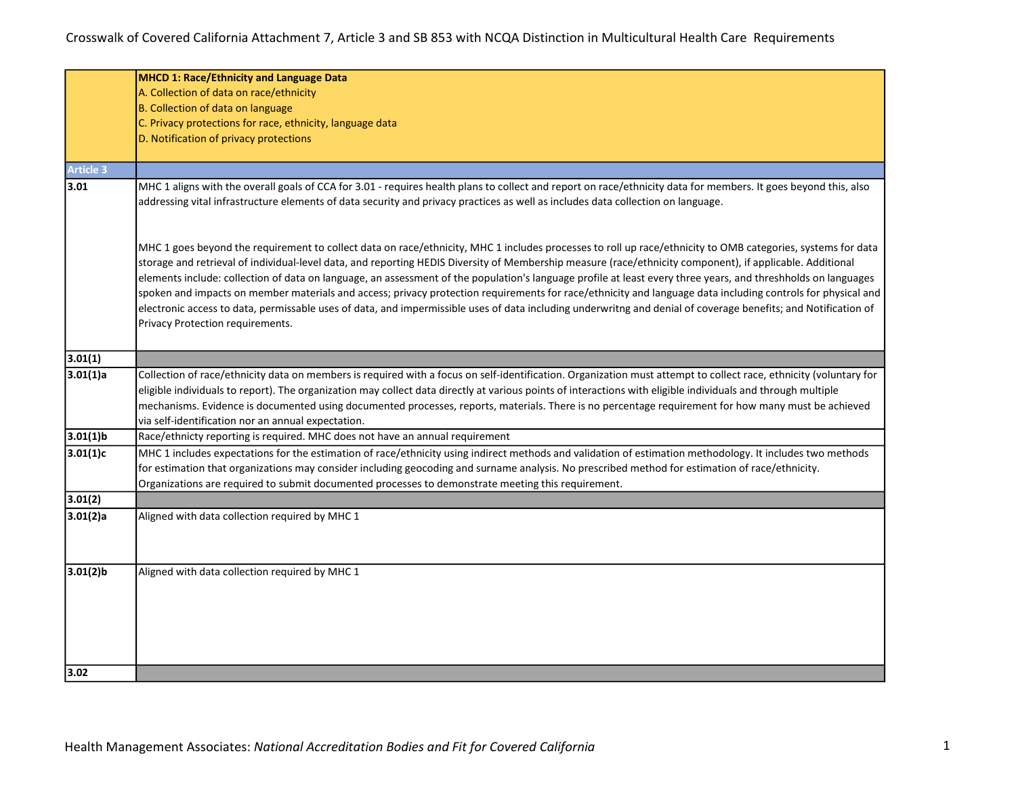|                  | <b>MHCD 1: Race/Ethnicity and Language Data</b>                                                                                                                                                                                                                                                                                                                                                                                                                                                                                                                                                                                                                                                                                                                                                                                                                |  |  |  |  |  |
|------------------|----------------------------------------------------------------------------------------------------------------------------------------------------------------------------------------------------------------------------------------------------------------------------------------------------------------------------------------------------------------------------------------------------------------------------------------------------------------------------------------------------------------------------------------------------------------------------------------------------------------------------------------------------------------------------------------------------------------------------------------------------------------------------------------------------------------------------------------------------------------|--|--|--|--|--|
|                  | A. Collection of data on race/ethnicity                                                                                                                                                                                                                                                                                                                                                                                                                                                                                                                                                                                                                                                                                                                                                                                                                        |  |  |  |  |  |
|                  | B. Collection of data on language                                                                                                                                                                                                                                                                                                                                                                                                                                                                                                                                                                                                                                                                                                                                                                                                                              |  |  |  |  |  |
|                  | C. Privacy protections for race, ethnicity, language data                                                                                                                                                                                                                                                                                                                                                                                                                                                                                                                                                                                                                                                                                                                                                                                                      |  |  |  |  |  |
|                  | D. Notification of privacy protections                                                                                                                                                                                                                                                                                                                                                                                                                                                                                                                                                                                                                                                                                                                                                                                                                         |  |  |  |  |  |
|                  |                                                                                                                                                                                                                                                                                                                                                                                                                                                                                                                                                                                                                                                                                                                                                                                                                                                                |  |  |  |  |  |
| <b>Article 3</b> |                                                                                                                                                                                                                                                                                                                                                                                                                                                                                                                                                                                                                                                                                                                                                                                                                                                                |  |  |  |  |  |
| 3.01             | MHC 1 aligns with the overall goals of CCA for 3.01 - requires health plans to collect and report on race/ethnicity data for members. It goes beyond this, also<br>addressing vital infrastructure elements of data security and privacy practices as well as includes data collection on language.                                                                                                                                                                                                                                                                                                                                                                                                                                                                                                                                                            |  |  |  |  |  |
|                  | MHC 1 goes beyond the requirement to collect data on race/ethnicity, MHC 1 includes processes to roll up race/ethnicity to OMB categories, systems for data<br>storage and retrieval of individual-level data, and reporting HEDIS Diversity of Membership measure (race/ethnicity component), if applicable. Additional<br>elements include: collection of data on language, an assessment of the population's language profile at least every three years, and threshholds on languages<br>spoken and impacts on member materials and access; privacy protection requirements for race/ethnicity and language data including controls for physical and<br>electronic access to data, permissable uses of data, and impermissible uses of data including underwritng and denial of coverage benefits; and Notification of<br>Privacy Protection requirements. |  |  |  |  |  |
| 3.01(1)          |                                                                                                                                                                                                                                                                                                                                                                                                                                                                                                                                                                                                                                                                                                                                                                                                                                                                |  |  |  |  |  |
| 3.01(1)a         | Collection of race/ethnicity data on members is required with a focus on self-identification. Organization must attempt to collect race, ethnicity (voluntary for                                                                                                                                                                                                                                                                                                                                                                                                                                                                                                                                                                                                                                                                                              |  |  |  |  |  |
|                  | eligible individuals to report). The organization may collect data directly at various points of interactions with eligible individuals and through multiple                                                                                                                                                                                                                                                                                                                                                                                                                                                                                                                                                                                                                                                                                                   |  |  |  |  |  |
|                  | mechanisms. Evidence is documented using documented processes, reports, materials. There is no percentage requirement for how many must be achieved                                                                                                                                                                                                                                                                                                                                                                                                                                                                                                                                                                                                                                                                                                            |  |  |  |  |  |
|                  | via self-identification nor an annual expectation.                                                                                                                                                                                                                                                                                                                                                                                                                                                                                                                                                                                                                                                                                                                                                                                                             |  |  |  |  |  |
| $3.01(1)$ b      | Race/ethnicty reporting is required. MHC does not have an annual requirement                                                                                                                                                                                                                                                                                                                                                                                                                                                                                                                                                                                                                                                                                                                                                                                   |  |  |  |  |  |
| 3.01(1)c         | MHC 1 includes expectations for the estimation of race/ethnicity using indirect methods and validation of estimation methodology. It includes two methods<br>for estimation that organizations may consider including geocoding and surname analysis. No prescribed method for estimation of race/ethnicity.<br>Organizations are required to submit documented processes to demonstrate meeting this requirement.                                                                                                                                                                                                                                                                                                                                                                                                                                             |  |  |  |  |  |
| 3.01(2)          |                                                                                                                                                                                                                                                                                                                                                                                                                                                                                                                                                                                                                                                                                                                                                                                                                                                                |  |  |  |  |  |
| 3.01(2)a         | Aligned with data collection required by MHC 1                                                                                                                                                                                                                                                                                                                                                                                                                                                                                                                                                                                                                                                                                                                                                                                                                 |  |  |  |  |  |
| $3.01(2)$ b      | Aligned with data collection required by MHC 1                                                                                                                                                                                                                                                                                                                                                                                                                                                                                                                                                                                                                                                                                                                                                                                                                 |  |  |  |  |  |
|                  |                                                                                                                                                                                                                                                                                                                                                                                                                                                                                                                                                                                                                                                                                                                                                                                                                                                                |  |  |  |  |  |
|                  |                                                                                                                                                                                                                                                                                                                                                                                                                                                                                                                                                                                                                                                                                                                                                                                                                                                                |  |  |  |  |  |
| 3.02             |                                                                                                                                                                                                                                                                                                                                                                                                                                                                                                                                                                                                                                                                                                                                                                                                                                                                |  |  |  |  |  |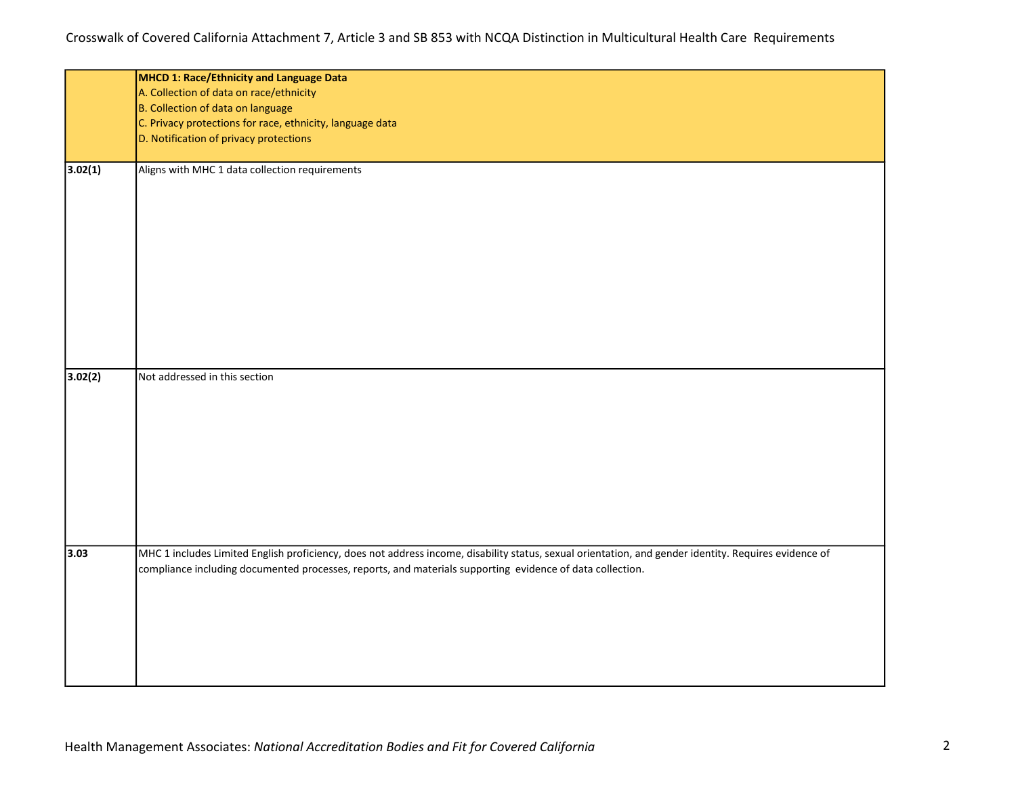|         | MHCD 1: Race/Ethnicity and Language Data                                                                                                              |
|---------|-------------------------------------------------------------------------------------------------------------------------------------------------------|
|         | A. Collection of data on race/ethnicity                                                                                                               |
|         | B. Collection of data on language                                                                                                                     |
|         | C. Privacy protections for race, ethnicity, language data                                                                                             |
|         | D. Notification of privacy protections                                                                                                                |
|         |                                                                                                                                                       |
| 3.02(1) | Aligns with MHC 1 data collection requirements                                                                                                        |
|         |                                                                                                                                                       |
|         |                                                                                                                                                       |
|         |                                                                                                                                                       |
|         |                                                                                                                                                       |
|         |                                                                                                                                                       |
|         |                                                                                                                                                       |
|         |                                                                                                                                                       |
|         |                                                                                                                                                       |
| 3.02(2) | Not addressed in this section                                                                                                                         |
|         |                                                                                                                                                       |
|         |                                                                                                                                                       |
|         |                                                                                                                                                       |
|         |                                                                                                                                                       |
|         |                                                                                                                                                       |
|         |                                                                                                                                                       |
|         |                                                                                                                                                       |
|         |                                                                                                                                                       |
| 3.03    | MHC 1 includes Limited English proficiency, does not address income, disability status, sexual orientation, and gender identity. Requires evidence of |
|         | compliance including documented processes, reports, and materials supporting evidence of data collection.                                             |
|         |                                                                                                                                                       |
|         |                                                                                                                                                       |
|         |                                                                                                                                                       |
|         |                                                                                                                                                       |
|         |                                                                                                                                                       |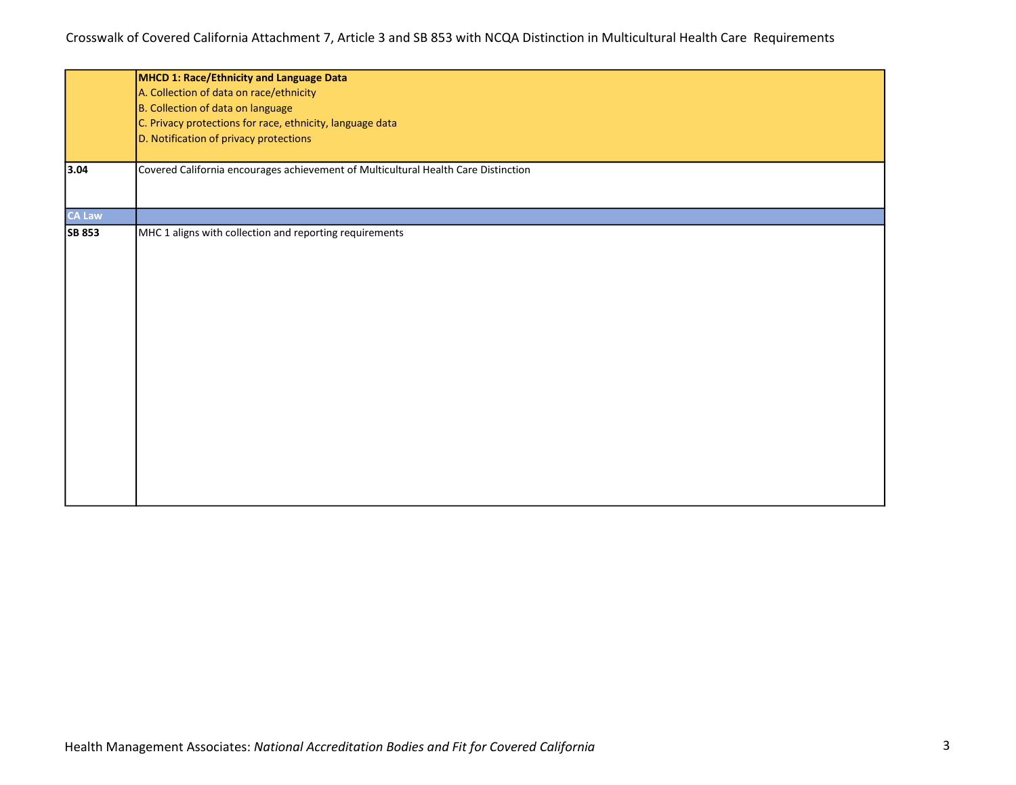|                                        | MHCD 1: Race/Ethnicity and Language Data                                           |  |  |  |
|----------------------------------------|------------------------------------------------------------------------------------|--|--|--|
|                                        | A. Collection of data on race/ethnicity                                            |  |  |  |
|                                        | B. Collection of data on language                                                  |  |  |  |
|                                        | C. Privacy protections for race, ethnicity, language data                          |  |  |  |
| D. Notification of privacy protections |                                                                                    |  |  |  |
|                                        |                                                                                    |  |  |  |
| 3.04                                   | Covered California encourages achievement of Multicultural Health Care Distinction |  |  |  |
| <b>CA Law</b>                          |                                                                                    |  |  |  |
| <b>SB 853</b>                          | MHC 1 aligns with collection and reporting requirements                            |  |  |  |
|                                        |                                                                                    |  |  |  |
|                                        |                                                                                    |  |  |  |
|                                        |                                                                                    |  |  |  |
|                                        |                                                                                    |  |  |  |
|                                        |                                                                                    |  |  |  |
|                                        |                                                                                    |  |  |  |
|                                        |                                                                                    |  |  |  |
|                                        |                                                                                    |  |  |  |
|                                        |                                                                                    |  |  |  |
|                                        |                                                                                    |  |  |  |
|                                        |                                                                                    |  |  |  |
|                                        |                                                                                    |  |  |  |
|                                        |                                                                                    |  |  |  |
|                                        |                                                                                    |  |  |  |
|                                        |                                                                                    |  |  |  |
|                                        |                                                                                    |  |  |  |
|                                        |                                                                                    |  |  |  |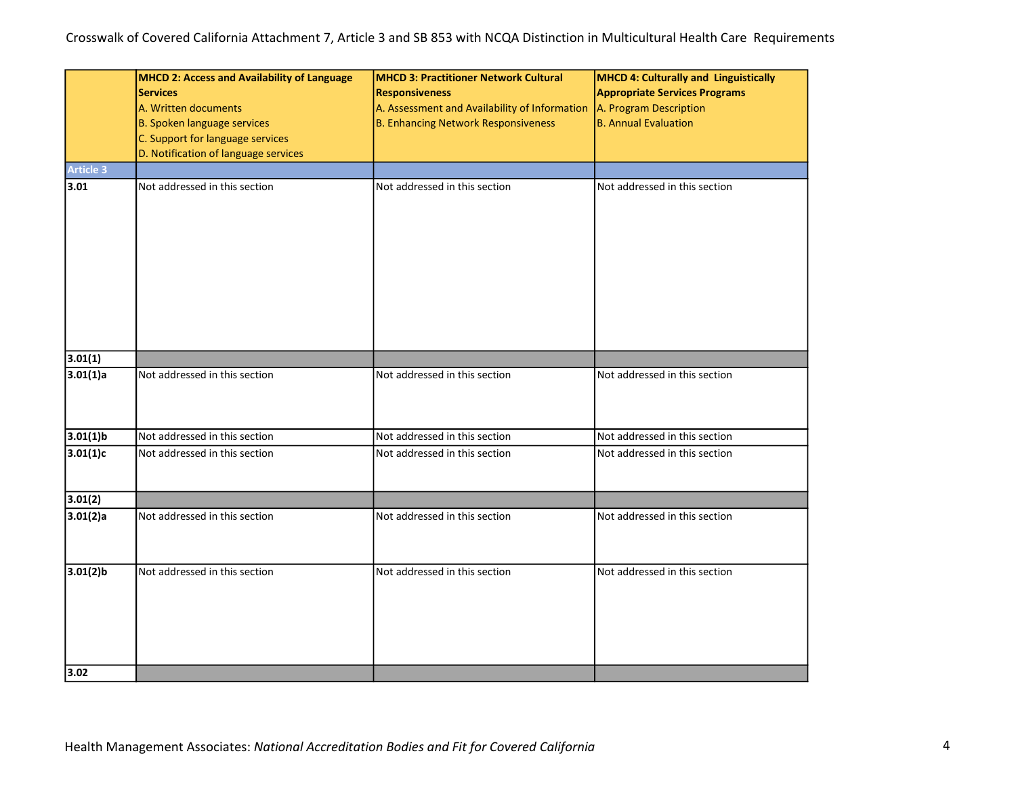| <b>Article 3</b>    | MHCD 2: Access and Availability of Language<br><b>Services</b><br>A. Written documents<br><b>B. Spoken language services</b><br>C. Support for language services<br>D. Notification of language services | <b>MHCD 3: Practitioner Network Cultural</b><br><b>Responsiveness</b><br>A. Assessment and Availability of Information<br><b>B. Enhancing Network Responsiveness</b> | MHCD 4: Culturally and Linguistically<br><b>Appropriate Services Programs</b><br>A. Program Description<br><b>B.</b> Annual Evaluation |  |
|---------------------|----------------------------------------------------------------------------------------------------------------------------------------------------------------------------------------------------------|----------------------------------------------------------------------------------------------------------------------------------------------------------------------|----------------------------------------------------------------------------------------------------------------------------------------|--|
| 3.01                | Not addressed in this section                                                                                                                                                                            | Not addressed in this section                                                                                                                                        | Not addressed in this section                                                                                                          |  |
| 3.01(1)             |                                                                                                                                                                                                          |                                                                                                                                                                      |                                                                                                                                        |  |
| 3.01(1)a            | Not addressed in this section                                                                                                                                                                            | Not addressed in this section                                                                                                                                        | Not addressed in this section                                                                                                          |  |
| $3.01(1)$ b         | Not addressed in this section                                                                                                                                                                            | Not addressed in this section                                                                                                                                        | Not addressed in this section                                                                                                          |  |
| 3.01(1)c            | Not addressed in this section                                                                                                                                                                            | Not addressed in this section                                                                                                                                        | Not addressed in this section                                                                                                          |  |
| 3.01(2)             |                                                                                                                                                                                                          |                                                                                                                                                                      |                                                                                                                                        |  |
| 3.01(2)a            | Not addressed in this section                                                                                                                                                                            | Not addressed in this section                                                                                                                                        | Not addressed in this section                                                                                                          |  |
| $3.01(2)$ b<br>3.02 | Not addressed in this section                                                                                                                                                                            | Not addressed in this section                                                                                                                                        | Not addressed in this section                                                                                                          |  |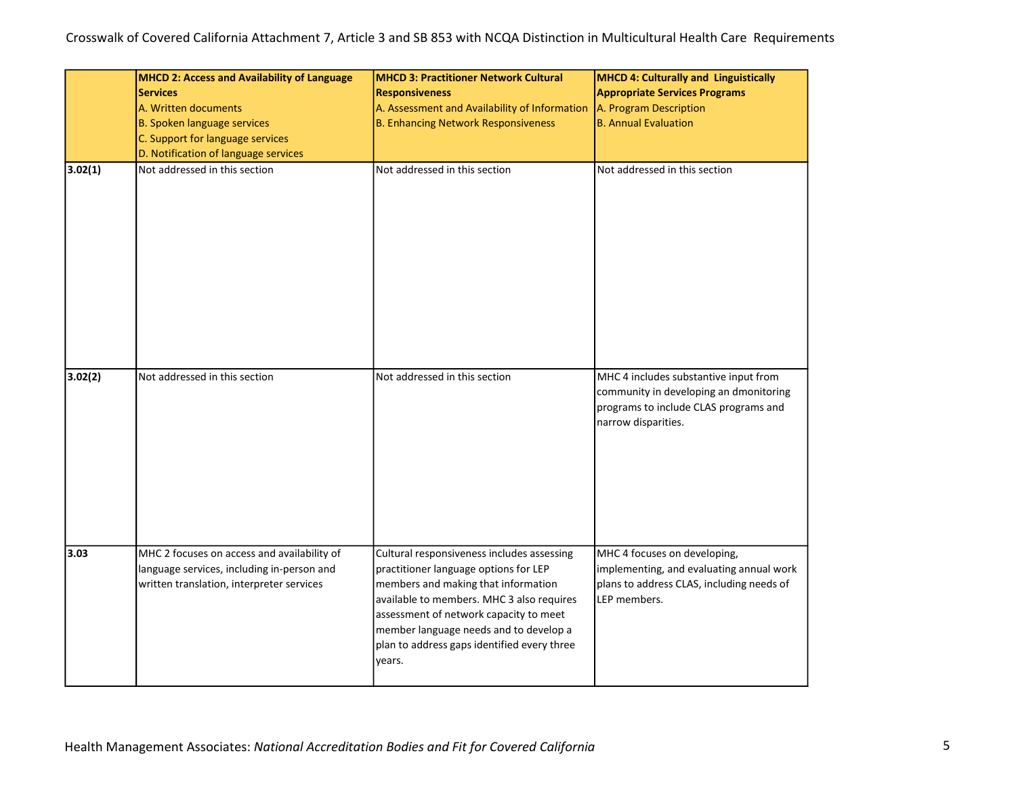|         | <b>MHCD 2: Access and Availability of Language</b><br><b>Services</b><br>A. Written documents<br><b>B. Spoken language services</b><br>C. Support for language services<br>D. Notification of language services | <b>MHCD 3: Practitioner Network Cultural</b><br><b>Responsiveness</b><br>A. Assessment and Availability of Information<br><b>B. Enhancing Network Responsiveness</b>                                                                                                                                                 | <b>MHCD 4: Culturally and Linguistically</b><br><b>Appropriate Services Programs</b><br>A. Program Description<br><b>B.</b> Annual Evaluation   |  |
|---------|-----------------------------------------------------------------------------------------------------------------------------------------------------------------------------------------------------------------|----------------------------------------------------------------------------------------------------------------------------------------------------------------------------------------------------------------------------------------------------------------------------------------------------------------------|-------------------------------------------------------------------------------------------------------------------------------------------------|--|
| 3.02(1) | Not addressed in this section                                                                                                                                                                                   | Not addressed in this section                                                                                                                                                                                                                                                                                        | Not addressed in this section                                                                                                                   |  |
| 3.02(2) | Not addressed in this section                                                                                                                                                                                   | Not addressed in this section                                                                                                                                                                                                                                                                                        | MHC 4 includes substantive input from<br>community in developing an dmonitoring<br>programs to include CLAS programs and<br>narrow disparities. |  |
| 3.03    | MHC 2 focuses on access and availability of<br>language services, including in-person and<br>written translation, interpreter services                                                                          | Cultural responsiveness includes assessing<br>practitioner language options for LEP<br>members and making that information<br>available to members. MHC 3 also requires<br>assessment of network capacity to meet<br>member language needs and to develop a<br>plan to address gaps identified every three<br>years. | MHC 4 focuses on developing,<br>implementing, and evaluating annual work<br>plans to address CLAS, including needs of<br>LEP members.           |  |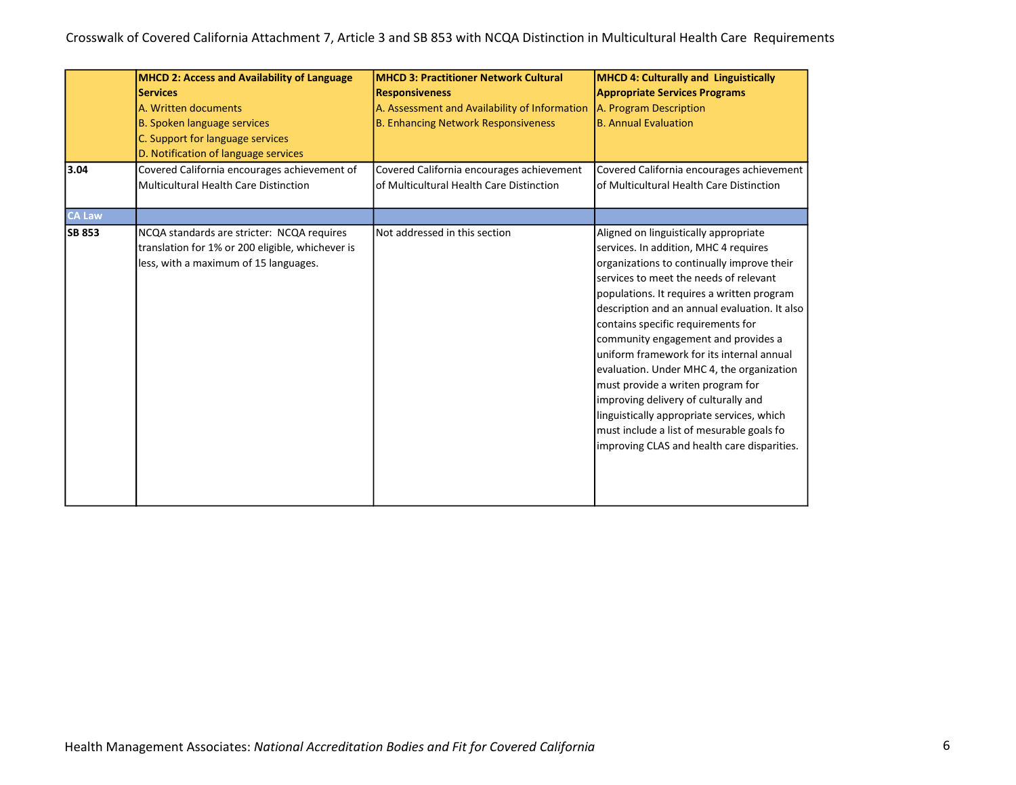| 3.04          | <b>MHCD 2: Access and Availability of Language</b><br><b>Services</b><br>A. Written documents<br>B. Spoken language services<br>C. Support for language services<br>D. Notification of language services<br>Covered California encourages achievement of<br><b>Multicultural Health Care Distinction</b> | <b>MHCD 3: Practitioner Network Cultural</b><br><b>Responsiveness</b><br>A. Assessment and Availability of Information<br><b>B. Enhancing Network Responsiveness</b><br>Covered California encourages achievement<br>of Multicultural Health Care Distinction | <b>MHCD 4: Culturally and Linguistically</b><br><b>Appropriate Services Programs</b><br>A. Program Description<br><b>B. Annual Evaluation</b><br>Covered California encourages achievement<br>of Multicultural Health Care Distinction                                                                                                                                                                                                                                                                                                                                                                                                                              |
|---------------|----------------------------------------------------------------------------------------------------------------------------------------------------------------------------------------------------------------------------------------------------------------------------------------------------------|---------------------------------------------------------------------------------------------------------------------------------------------------------------------------------------------------------------------------------------------------------------|---------------------------------------------------------------------------------------------------------------------------------------------------------------------------------------------------------------------------------------------------------------------------------------------------------------------------------------------------------------------------------------------------------------------------------------------------------------------------------------------------------------------------------------------------------------------------------------------------------------------------------------------------------------------|
| <b>CA Law</b> |                                                                                                                                                                                                                                                                                                          |                                                                                                                                                                                                                                                               |                                                                                                                                                                                                                                                                                                                                                                                                                                                                                                                                                                                                                                                                     |
| <b>SB 853</b> | NCQA standards are stricter: NCQA requires<br>translation for 1% or 200 eligible, whichever is<br>less, with a maximum of 15 languages.                                                                                                                                                                  | Not addressed in this section                                                                                                                                                                                                                                 | Aligned on linguistically appropriate<br>services. In addition, MHC 4 requires<br>organizations to continually improve their<br>services to meet the needs of relevant<br>populations. It requires a written program<br>description and an annual evaluation. It also<br>contains specific requirements for<br>community engagement and provides a<br>uniform framework for its internal annual<br>evaluation. Under MHC 4, the organization<br>must provide a writen program for<br>improving delivery of culturally and<br>linguistically appropriate services, which<br>must include a list of mesurable goals fo<br>improving CLAS and health care disparities. |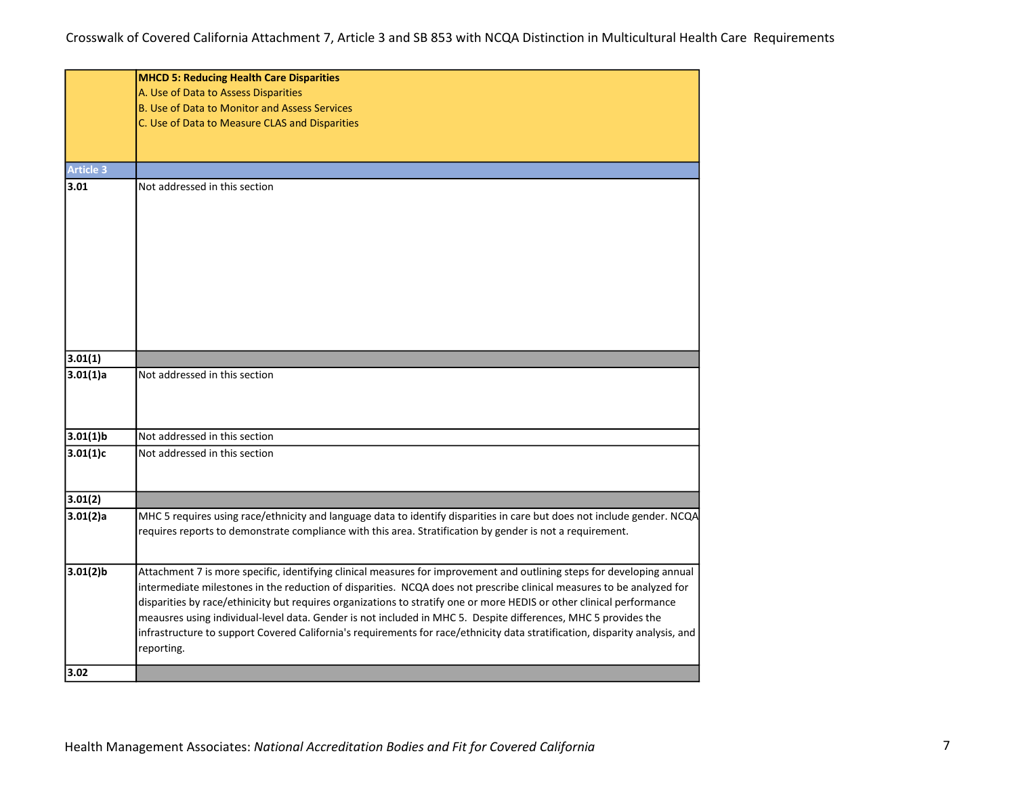|                  | <b>MHCD 5: Reducing Health Care Disparities</b>                                                                                                                                                                                                 |  |  |  |  |
|------------------|-------------------------------------------------------------------------------------------------------------------------------------------------------------------------------------------------------------------------------------------------|--|--|--|--|
|                  | A. Use of Data to Assess Disparities                                                                                                                                                                                                            |  |  |  |  |
|                  | <b>B. Use of Data to Monitor and Assess Services</b>                                                                                                                                                                                            |  |  |  |  |
|                  | C. Use of Data to Measure CLAS and Disparities                                                                                                                                                                                                  |  |  |  |  |
|                  |                                                                                                                                                                                                                                                 |  |  |  |  |
|                  |                                                                                                                                                                                                                                                 |  |  |  |  |
| <b>Article 3</b> |                                                                                                                                                                                                                                                 |  |  |  |  |
| 3.01             | Not addressed in this section                                                                                                                                                                                                                   |  |  |  |  |
|                  |                                                                                                                                                                                                                                                 |  |  |  |  |
|                  |                                                                                                                                                                                                                                                 |  |  |  |  |
|                  |                                                                                                                                                                                                                                                 |  |  |  |  |
|                  |                                                                                                                                                                                                                                                 |  |  |  |  |
|                  |                                                                                                                                                                                                                                                 |  |  |  |  |
|                  |                                                                                                                                                                                                                                                 |  |  |  |  |
|                  |                                                                                                                                                                                                                                                 |  |  |  |  |
|                  |                                                                                                                                                                                                                                                 |  |  |  |  |
|                  |                                                                                                                                                                                                                                                 |  |  |  |  |
|                  |                                                                                                                                                                                                                                                 |  |  |  |  |
| 3.01(1)          |                                                                                                                                                                                                                                                 |  |  |  |  |
| 3.01(1)a         | Not addressed in this section                                                                                                                                                                                                                   |  |  |  |  |
|                  |                                                                                                                                                                                                                                                 |  |  |  |  |
|                  |                                                                                                                                                                                                                                                 |  |  |  |  |
| $3.01(1)$ b      | Not addressed in this section                                                                                                                                                                                                                   |  |  |  |  |
| 3.01(1)c         | Not addressed in this section                                                                                                                                                                                                                   |  |  |  |  |
|                  |                                                                                                                                                                                                                                                 |  |  |  |  |
|                  |                                                                                                                                                                                                                                                 |  |  |  |  |
| 3.01(2)          |                                                                                                                                                                                                                                                 |  |  |  |  |
| 3.01(2)a         | MHC 5 requires using race/ethnicity and language data to identify disparities in care but does not include gender. NCQA                                                                                                                         |  |  |  |  |
|                  | requires reports to demonstrate compliance with this area. Stratification by gender is not a requirement.                                                                                                                                       |  |  |  |  |
|                  |                                                                                                                                                                                                                                                 |  |  |  |  |
|                  |                                                                                                                                                                                                                                                 |  |  |  |  |
| $3.01(2)$ b      | Attachment 7 is more specific, identifying clinical measures for improvement and outlining steps for developing annual<br>intermediate milestones in the reduction of disparities. NCQA does not prescribe clinical measures to be analyzed for |  |  |  |  |
|                  | disparities by race/ethinicity but requires organizations to stratify one or more HEDIS or other clinical performance                                                                                                                           |  |  |  |  |
|                  | meausres using individual-level data. Gender is not included in MHC 5. Despite differences, MHC 5 provides the                                                                                                                                  |  |  |  |  |
|                  | infrastructure to support Covered California's requirements for race/ethnicity data stratification, disparity analysis, and                                                                                                                     |  |  |  |  |
|                  | reporting.                                                                                                                                                                                                                                      |  |  |  |  |
|                  |                                                                                                                                                                                                                                                 |  |  |  |  |
| 3.02             |                                                                                                                                                                                                                                                 |  |  |  |  |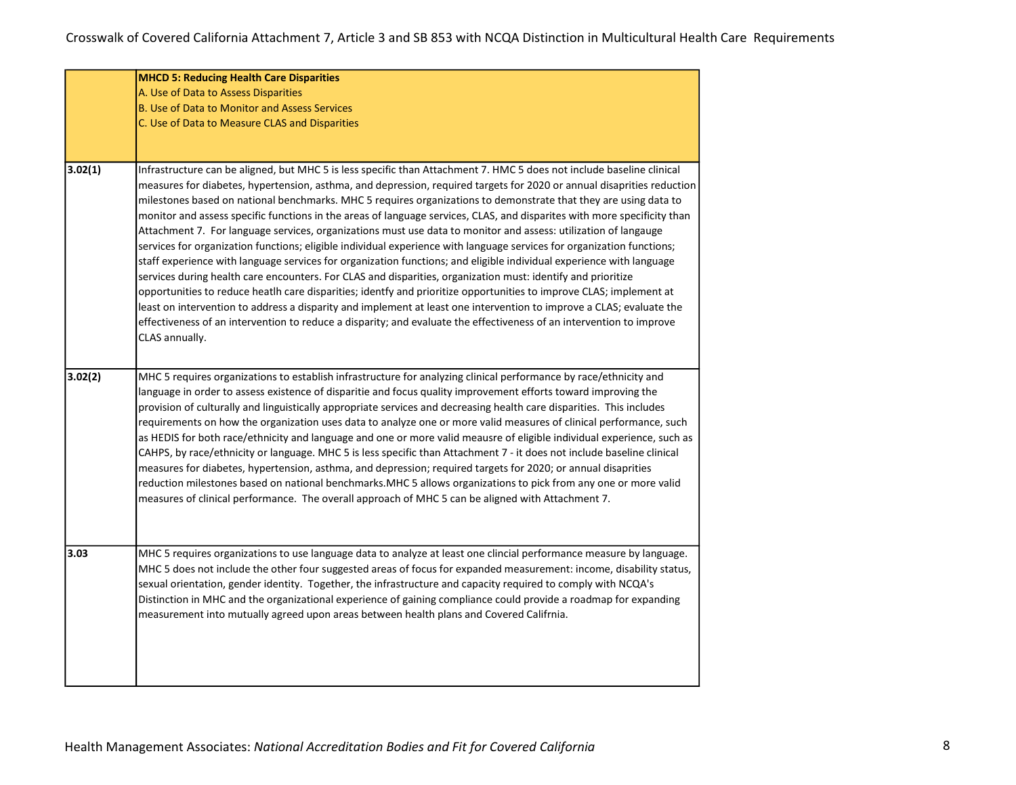|         | <b>MHCD 5: Reducing Health Care Disparities</b>                                                                                                                                                                                                                                                                                                                                                                                                                                                                                                                                                                                                                                                                                                                                                                                                                                                                                                                                                                                                                                                                                                                                                                                                                                                                                                                               |
|---------|-------------------------------------------------------------------------------------------------------------------------------------------------------------------------------------------------------------------------------------------------------------------------------------------------------------------------------------------------------------------------------------------------------------------------------------------------------------------------------------------------------------------------------------------------------------------------------------------------------------------------------------------------------------------------------------------------------------------------------------------------------------------------------------------------------------------------------------------------------------------------------------------------------------------------------------------------------------------------------------------------------------------------------------------------------------------------------------------------------------------------------------------------------------------------------------------------------------------------------------------------------------------------------------------------------------------------------------------------------------------------------|
|         | A. Use of Data to Assess Disparities                                                                                                                                                                                                                                                                                                                                                                                                                                                                                                                                                                                                                                                                                                                                                                                                                                                                                                                                                                                                                                                                                                                                                                                                                                                                                                                                          |
|         | B. Use of Data to Monitor and Assess Services                                                                                                                                                                                                                                                                                                                                                                                                                                                                                                                                                                                                                                                                                                                                                                                                                                                                                                                                                                                                                                                                                                                                                                                                                                                                                                                                 |
|         | C. Use of Data to Measure CLAS and Disparities                                                                                                                                                                                                                                                                                                                                                                                                                                                                                                                                                                                                                                                                                                                                                                                                                                                                                                                                                                                                                                                                                                                                                                                                                                                                                                                                |
|         |                                                                                                                                                                                                                                                                                                                                                                                                                                                                                                                                                                                                                                                                                                                                                                                                                                                                                                                                                                                                                                                                                                                                                                                                                                                                                                                                                                               |
|         |                                                                                                                                                                                                                                                                                                                                                                                                                                                                                                                                                                                                                                                                                                                                                                                                                                                                                                                                                                                                                                                                                                                                                                                                                                                                                                                                                                               |
| 3.02(1) | Infrastructure can be aligned, but MHC 5 is less specific than Attachment 7. HMC 5 does not include baseline clinical<br>measures for diabetes, hypertension, asthma, and depression, required targets for 2020 or annual disaprities reduction<br>milestones based on national benchmarks. MHC 5 requires organizations to demonstrate that they are using data to<br>monitor and assess specific functions in the areas of language services, CLAS, and disparites with more specificity than<br>Attachment 7. For language services, organizations must use data to monitor and assess: utilization of langauge<br>services for organization functions; eligible individual experience with language services for organization functions;<br>staff experience with language services for organization functions; and eligible individual experience with language<br>services during health care encounters. For CLAS and disparities, organization must: identify and prioritize<br>opportunities to reduce heatlh care disparities; identfy and prioritize opportunities to improve CLAS; implement at<br>least on intervention to address a disparity and implement at least one intervention to improve a CLAS; evaluate the<br>effectiveness of an intervention to reduce a disparity; and evaluate the effectiveness of an intervention to improve<br>CLAS annually. |
| 3.02(2) | MHC 5 requires organizations to establish infrastructure for analyzing clinical performance by race/ethnicity and<br>language in order to assess existence of disparitie and focus quality improvement efforts toward improving the<br>provision of culturally and linguistically appropriate services and decreasing health care disparities. This includes<br>requirements on how the organization uses data to analyze one or more valid measures of clinical performance, such<br>as HEDIS for both race/ethnicity and language and one or more valid meausre of eligible individual experience, such as<br>CAHPS, by race/ethnicity or language. MHC 5 is less specific than Attachment 7 - it does not include baseline clinical<br>measures for diabetes, hypertension, asthma, and depression; required targets for 2020; or annual disaprities<br>reduction milestones based on national benchmarks.MHC 5 allows organizations to pick from any one or more valid<br>measures of clinical performance. The overall approach of MHC 5 can be aligned with Attachment 7.                                                                                                                                                                                                                                                                                               |
| 3.03    | MHC 5 requires organizations to use language data to analyze at least one clincial performance measure by language.<br>MHC 5 does not include the other four suggested areas of focus for expanded measurement: income, disability status,<br>sexual orientation, gender identity. Together, the infrastructure and capacity required to comply with NCQA's<br>Distinction in MHC and the organizational experience of gaining compliance could provide a roadmap for expanding<br>measurement into mutually agreed upon areas between health plans and Covered Califrnia.                                                                                                                                                                                                                                                                                                                                                                                                                                                                                                                                                                                                                                                                                                                                                                                                    |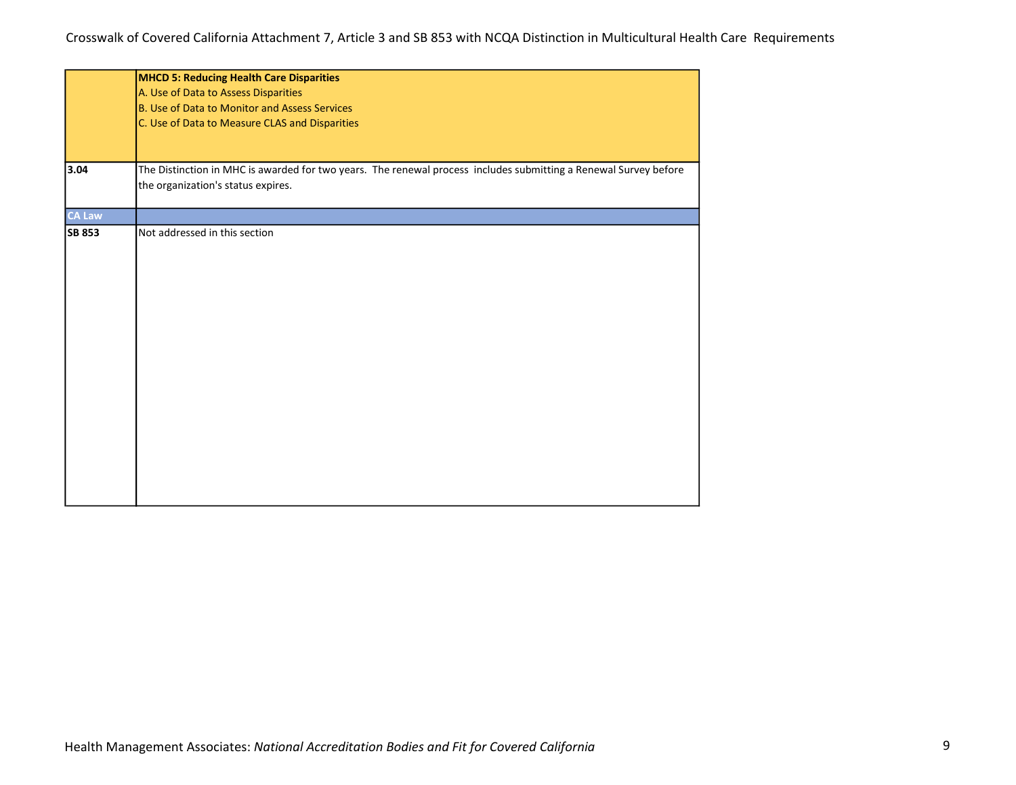|               | <b>MHCD 5: Reducing Health Care Disparities</b>                                                                  |
|---------------|------------------------------------------------------------------------------------------------------------------|
|               | A. Use of Data to Assess Disparities                                                                             |
|               | B. Use of Data to Monitor and Assess Services                                                                    |
|               | C. Use of Data to Measure CLAS and Disparities                                                                   |
|               |                                                                                                                  |
|               |                                                                                                                  |
| 3.04          | The Distinction in MHC is awarded for two years. The renewal process includes submitting a Renewal Survey before |
|               | the organization's status expires.                                                                               |
|               |                                                                                                                  |
| <b>CA Law</b> |                                                                                                                  |
| <b>SB 853</b> | Not addressed in this section                                                                                    |
|               |                                                                                                                  |
|               |                                                                                                                  |
|               |                                                                                                                  |
|               |                                                                                                                  |
|               |                                                                                                                  |
|               |                                                                                                                  |
|               |                                                                                                                  |
|               |                                                                                                                  |
|               |                                                                                                                  |
|               |                                                                                                                  |
|               |                                                                                                                  |
|               |                                                                                                                  |
|               |                                                                                                                  |
|               |                                                                                                                  |
|               |                                                                                                                  |
|               |                                                                                                                  |
|               |                                                                                                                  |
|               |                                                                                                                  |
|               |                                                                                                                  |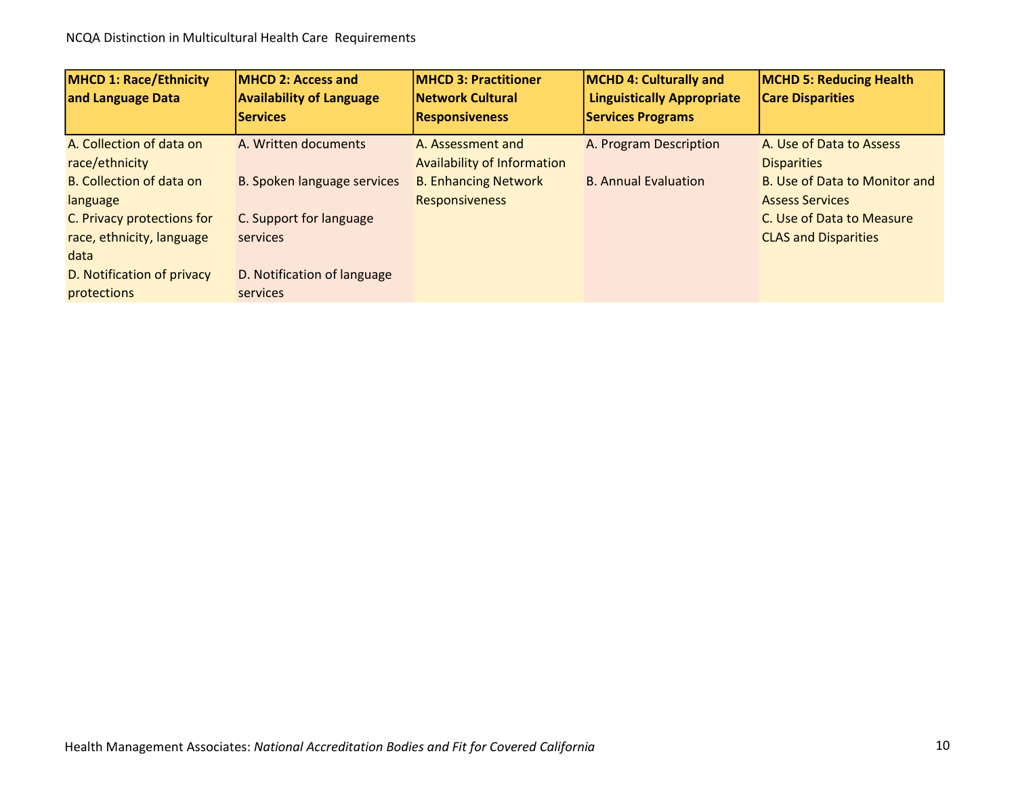| <b>MHCD 1: Race/Ethnicity</b><br>and Language Data | <b>IMHCD 2: Access and</b><br><b>Availability of Language</b> | <b>IMHCD 3: Practitioner</b><br><b>Network Cultural</b> | <b>MCHD 4: Culturally and</b><br><b>Linguistically Appropriate</b> | <b>MCHD 5: Reducing Health</b><br><b>Care Disparities</b> |
|----------------------------------------------------|---------------------------------------------------------------|---------------------------------------------------------|--------------------------------------------------------------------|-----------------------------------------------------------|
|                                                    | <b>Services</b>                                               | <b>Responsiveness</b>                                   | <b>Services Programs</b>                                           |                                                           |
| A. Collection of data on                           | A. Written documents                                          | A. Assessment and                                       | A. Program Description                                             | A. Use of Data to Assess                                  |
| race/ethnicity                                     |                                                               | <b>Availability of Information</b>                      |                                                                    | <b>Disparities</b>                                        |
| <b>B.</b> Collection of data on                    | B. Spoken language services                                   | <b>B. Enhancing Network</b>                             | <b>B. Annual Evaluation</b>                                        | B. Use of Data to Monitor and                             |
| language                                           |                                                               | <b>Responsiveness</b>                                   |                                                                    | <b>Assess Services</b>                                    |
| C. Privacy protections for                         | C. Support for language                                       |                                                         |                                                                    | C. Use of Data to Measure                                 |
| race, ethnicity, language                          | services                                                      |                                                         |                                                                    | <b>CLAS and Disparities</b>                               |
| data                                               |                                                               |                                                         |                                                                    |                                                           |
| D. Notification of privacy                         | D. Notification of language                                   |                                                         |                                                                    |                                                           |
| protections                                        | services                                                      |                                                         |                                                                    |                                                           |